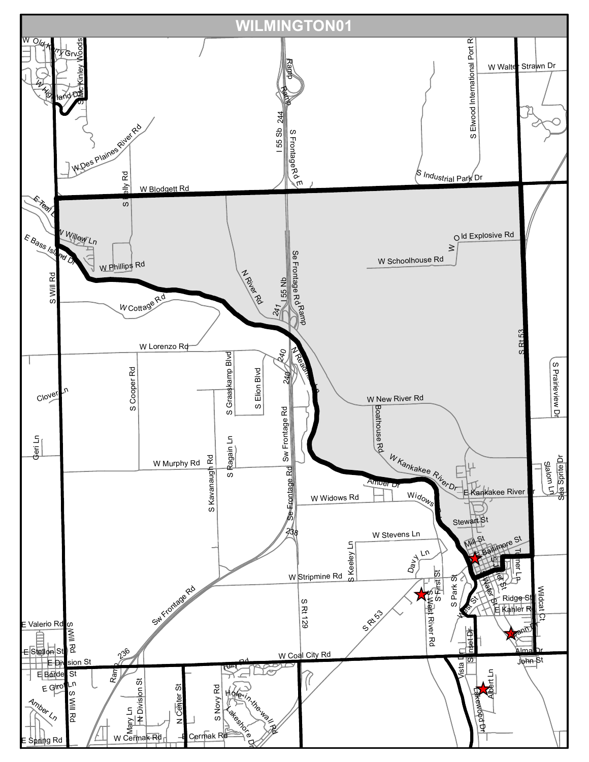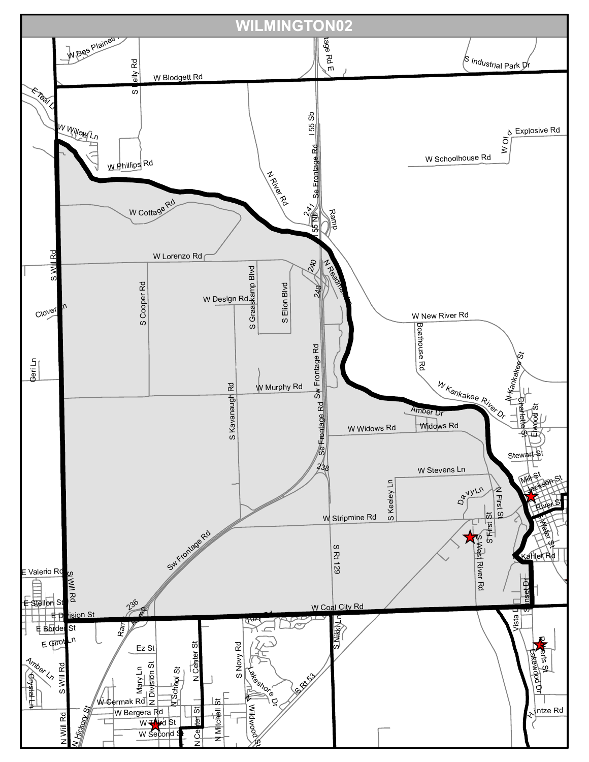